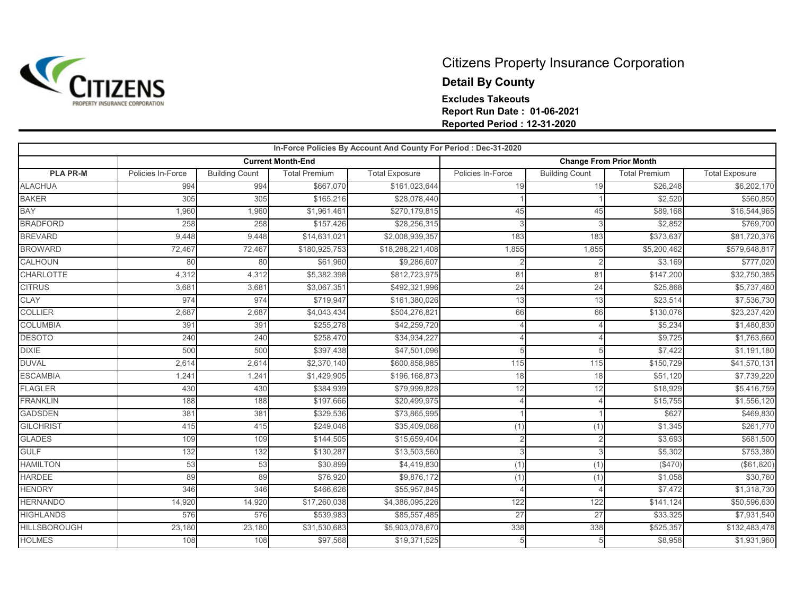

## Citizens Property Insurance Corporation **Detail By County Excludes Takeouts Report Run Date : 01-06-2021 Reported Period : 12-31-2020**

|                     |                   |                       |                          | In-Force Policies By Account And County For Period : Dec-31-2020 |                                |                       |                      |                       |
|---------------------|-------------------|-----------------------|--------------------------|------------------------------------------------------------------|--------------------------------|-----------------------|----------------------|-----------------------|
|                     |                   |                       | <b>Current Month-End</b> |                                                                  | <b>Change From Prior Month</b> |                       |                      |                       |
| <b>PLA PR-M</b>     | Policies In-Force | <b>Building Count</b> | <b>Total Premium</b>     | <b>Total Exposure</b>                                            | Policies In-Force              | <b>Building Count</b> | <b>Total Premium</b> | <b>Total Exposure</b> |
| <b>ALACHUA</b>      | 994               | 994                   | \$667,070                | \$161,023,644                                                    | 19                             | 19                    | \$26,248             | \$6,202,170           |
| <b>BAKER</b>        | 305               | 305                   | \$165,216                | \$28,078,440                                                     |                                |                       | \$2,520              | \$560,850             |
| <b>BAY</b>          | 1,960             | 1,960                 | \$1,961,461              | \$270,179,815                                                    | 45                             | 45                    | \$89,168             | \$16,544,965          |
| <b>BRADFORD</b>     | 258               | 258                   | \$157,426                | \$28,256,315                                                     |                                |                       | \$2,852              | \$769,700             |
| <b>BREVARD</b>      | 9,448             | 9,448                 | \$14,631,021             | \$2,008,939,357                                                  | 183                            | 183                   | \$373,637            | \$81,720,376          |
| <b>BROWARD</b>      | 72,467            | 72,467                | \$180,925,753            | \$18,288,221,408                                                 | 1,855                          | 1,855                 | \$5,200,462          | \$579,648,817         |
| <b>CALHOUN</b>      | 80                | 80                    | \$61,960                 | \$9,286,607                                                      |                                |                       | \$3.169              | \$777,020             |
| <b>CHARLOTTE</b>    | 4,312             | 4,312                 | \$5,382,398              | \$812,723,975                                                    | 81                             | 81                    | \$147,200            | \$32,750,385          |
| <b>CITRUS</b>       | 3,681             | 3,681                 | \$3,067,351              | \$492,321,996                                                    | 24                             | 24                    | \$25,868             | \$5,737,460           |
| <b>CLAY</b>         | 974               | 974                   | \$719.947                | \$161,380,026                                                    | 13                             | 13                    | \$23,514             | \$7,536,730           |
| <b>COLLIER</b>      | 2,687             | 2,687                 | \$4,043,434              | \$504,276,821                                                    | 66                             | 66                    | \$130,076            | \$23,237,420          |
| <b>COLUMBIA</b>     | 391               | 391                   | \$255,278                | \$42,259,720                                                     |                                |                       | \$5,234              | \$1,480,830           |
| <b>DESOTO</b>       | 240               | 240                   | \$258,470                | \$34,934,227                                                     |                                |                       | \$9,725              | \$1,763,660           |
| <b>DIXIE</b>        | 500               | 500                   | \$397,438                | \$47,501,096                                                     |                                | 5                     | \$7,422              | \$1,191,180           |
| <b>DUVAL</b>        | 2,614             | 2,614                 | \$2,370,140              | \$600,858,985                                                    | 115                            | 115                   | \$150,729            | \$41,570,131          |
| <b>ESCAMBIA</b>     | 1,241             | 1,241                 | \$1,429,905              | \$196,168,873                                                    | 18                             | 18                    | \$51,120             | \$7,739,220           |
| <b>FLAGLER</b>      | 430               | 430                   | \$384,939                | \$79,999,828                                                     | 12                             | 12                    | \$18,929             | \$5,416,759           |
| <b>FRANKLIN</b>     | 188               | 188                   | \$197,666                | \$20,499,975                                                     |                                |                       | \$15,755             | \$1,556,120           |
| <b>GADSDEN</b>      | 381               | 381                   | \$329,536                | \$73,865,995                                                     |                                |                       | \$627                | \$469,830             |
| <b>GILCHRIST</b>    | 415               | 415                   | \$249,046                | \$35,409,068                                                     | (1)                            | (1)                   | \$1,345              | \$261,770             |
| <b>GLADES</b>       | 109               | 109                   | \$144,505                | \$15,659,404                                                     |                                |                       | \$3,693              | \$681,500             |
| <b>GULF</b>         | 132               | 132                   | \$130,287                | \$13,503,560                                                     |                                | 3                     | \$5,302              | \$753,380             |
| <b>HAMILTON</b>     | 53                | 53                    | \$30,899                 | \$4,419,830                                                      | (1)                            | (1)                   | (\$470)              | (\$61, 820)           |
| <b>HARDEE</b>       | 89                | 89                    | \$76,920                 | \$9,876,172                                                      | (1)                            | (1)                   | \$1,058              | \$30,760              |
| <b>HENDRY</b>       | 346               | 346                   | \$466,626                | \$55,957,845                                                     |                                |                       | \$7,472              | \$1,318,730           |
| <b>HERNANDO</b>     | 14,920            | 14,920                | \$17,260,038             | \$4,386,095,226                                                  | 122                            | 122                   | \$141,124            | \$50,596,630          |
| <b>HIGHLANDS</b>    | 576               | 576                   | \$539,983                | \$85,557,485                                                     | 27                             | 27                    | \$33,325             | \$7,931,540           |
| <b>HILLSBOROUGH</b> | 23,180            | 23,180                | \$31,530,683             | \$5,903,078,670                                                  | 338                            | 338                   | \$525,357            | \$132,483,478         |
| <b>HOLMES</b>       | 108               | 108                   | \$97,568                 | \$19,371,525                                                     |                                | 5                     | \$8,958              | \$1,931,960           |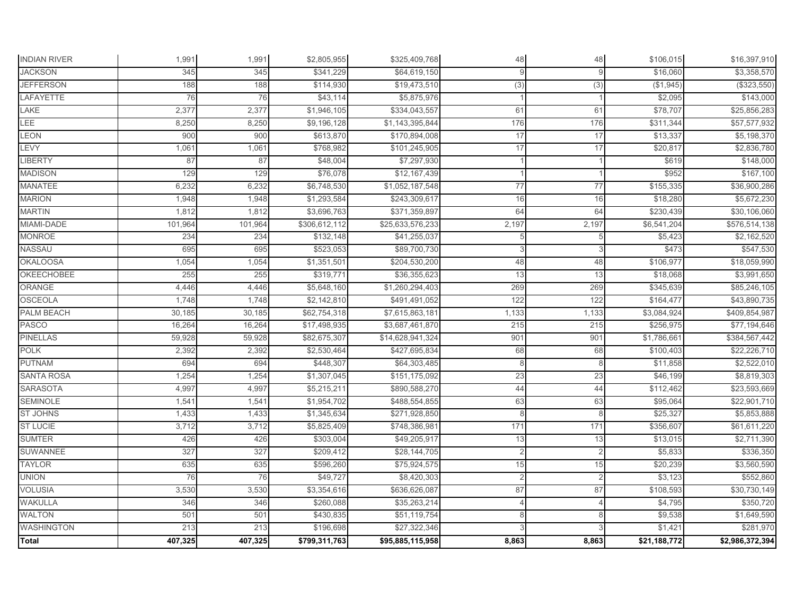| <b>Total</b>        | 407,325 | 407,325 | \$799,311,763 | \$95,885,115,958 | 8,863          | 8,863          | \$21,188,772 | \$2,986,372,394 |
|---------------------|---------|---------|---------------|------------------|----------------|----------------|--------------|-----------------|
| <b>WASHINGTON</b>   | 213     | 213     | \$196,698     | \$27,322,346     |                |                | \$1,421      | \$281,970       |
| <b>WALTON</b>       | 501     | 501     | \$430,835     | \$51,119,754     | 8              | 8              | \$9,538      | \$1,649,590     |
| <b>WAKULLA</b>      | 346     | 346     | \$260,088     | \$35,263,214     |                |                | \$4,795      | \$350,720       |
| <b>VOLUSIA</b>      | 3,530   | 3,530   | \$3,354,616   | \$636,626,087    | 87             | 87             | \$108,593    | \$30,730,149    |
| <b>UNION</b>        | 76      | 76      | \$49,727      | \$8,420,303      | $\overline{2}$ | $\overline{2}$ | \$3,123      | \$552,860       |
| <b>TAYLOR</b>       | 635     | 635     | \$596,260     | \$75,924,575     | 15             | 15             | \$20,239     | \$3,560,590     |
| SUWANNEE            | 327     | 327     | \$209,412     | \$28,144,705     | $\mathcal{P}$  | $\overline{2}$ | \$5,833      | \$336,350       |
| <b>SUMTER</b>       | 426     | 426     | \$303,004     | \$49,205,917     | 13             | 13             | \$13,015     | \$2,711,390     |
| <b>ST LUCIE</b>     | 3,712   | 3,712   | \$5,825,409   | \$748,386,981    | 171            | 171            | \$356,607    | \$61,611,220    |
| <b>ST JOHNS</b>     | 1,433   | 1,433   | \$1,345,634   | \$271,928,850    | 8              | 8              | \$25,327     | \$5,853,888     |
| <b>SEMINOLE</b>     | 1,541   | 1,541   | \$1,954,702   | \$488,554,855    | 63             | 63             | \$95,064     | \$22,901,710    |
| <b>SARASOTA</b>     | 4,997   | 4,997   | \$5,215,211   | \$890,588,270    | 44             | 44             | \$112,462    | \$23,593,669    |
| <b>SANTA ROSA</b>   | 1,254   | 1,254   | \$1,307,045   | \$151,175,092    | 23             | 23             | \$46,199     | \$8,819,303     |
| <b>PUTNAM</b>       | 694     | 694     | \$448,307     | \$64,303,485     | 8              | 8              | \$11,858     | \$2,522,010     |
| <b>POLK</b>         | 2,392   | 2,392   | \$2,530,464   | \$427,695,834    | 68             | 68             | \$100,403    | \$22,226,710    |
| <b>PINELLAS</b>     | 59,928  | 59,928  | \$82,675,307  | \$14,628,941,324 | 901            | 901            | \$1,786,661  | \$384,567,442   |
| PASCO               | 16,264  | 16,264  | \$17,498,935  | \$3,687,461,870  | 215            | 215            | \$256,975    | \$77,194,646    |
| PALM BEACH          | 30,185  | 30,185  | \$62,754,318  | \$7,615,863,181  | 1,133          | 1,133          | \$3,084,924  | \$409,854,987   |
| <b>OSCEOLA</b>      | 1,748   | 1,748   | \$2,142,810   | \$491,491,052    | 122            | 122            | \$164,477    | \$43,890,735    |
| <b>ORANGE</b>       | 4,446   | 4,446   | \$5,648,160   | \$1,260,294,403  | 269            | 269            | \$345,639    | \$85,246,105    |
| <b>OKEECHOBEE</b>   | 255     | 255     | \$319,771     | \$36,355,623     | 13             | 13             | \$18,068     | \$3,991,650     |
| <b>OKALOOSA</b>     | 1,054   | 1,054   | \$1,351,501   | \$204,530,200    | 48             | 48             | \$106,977    | \$18,059,990    |
| NASSAU              | 695     | 695     | \$523,053     | \$89,700,730     |                |                | \$473        | \$547,530       |
| <b>MONROE</b>       | 234     | 234     | \$132,148     | \$41,255,037     |                |                | \$5,423      | \$2,162,520     |
| MIAMI-DADE          | 101,964 | 101,964 | \$306,612,112 | \$25,633,576,233 | 2,197          | 2,197          | \$6,541,204  | \$576,514,138   |
| <b>MARTIN</b>       | 1,812   | 1,812   | \$3,696,763   | \$371,359,897    | 64             | 64             | \$230,439    | \$30,106,060    |
| <b>MARION</b>       | 1,948   | 1,948   | \$1,293,584   | \$243,309,617    | 16             | 16             | \$18,280     | \$5,672,230     |
| <b>MANATEE</b>      | 6,232   | 6,232   | \$6,748,530   | \$1,052,187,548  | 77             | 77             | \$155,335    | \$36,900,286    |
| <b>MADISON</b>      | 129     | 129     | \$76,078      | \$12,167,439     |                |                | \$952        | \$167,100       |
| LIBERTY             | 87      | 87      | \$48,004      | \$7,297,930      |                |                | \$619        | \$148,000       |
| LEVY                | 1,061   | 1,061   | \$768,982     | \$101,245,905    | 17             | 17             | \$20,817     | \$2,836,780     |
| LEON                | 900     | 900     | \$613,870     | \$170,894,008    | 17             | 17             | \$13,337     | \$5,198,370     |
| LEE                 | 8,250   | 8,250   | \$9,196,128   | \$1,143,395,844  | 176            | 176            | \$311,344    | \$57,577,932    |
| LAKE                | 2,377   | 2,377   | \$1,946,105   | \$334,043,557    | 61             | 61             | \$78,707     | \$25,856,283    |
| <b>LAFAYETTE</b>    | 76      | 76      | \$43,114      | \$5,875,976      |                |                | \$2,095      | \$143,000       |
| <b>JEFFERSON</b>    | 188     | 188     | \$114,930     | \$19,473,510     | (3)            | (3)            | (\$1,945)    | (\$323,550)     |
| <b>JACKSON</b>      | 345     | 345     | \$341,229     | \$64,619,150     | $\circ$        | Q              | \$16,060     | \$3,358,570     |
| <b>INDIAN RIVER</b> | 1,991   | 1,991   | \$2,805,955   | \$325,409,768    | 48             | 48             | \$106,015    | \$16,397,910    |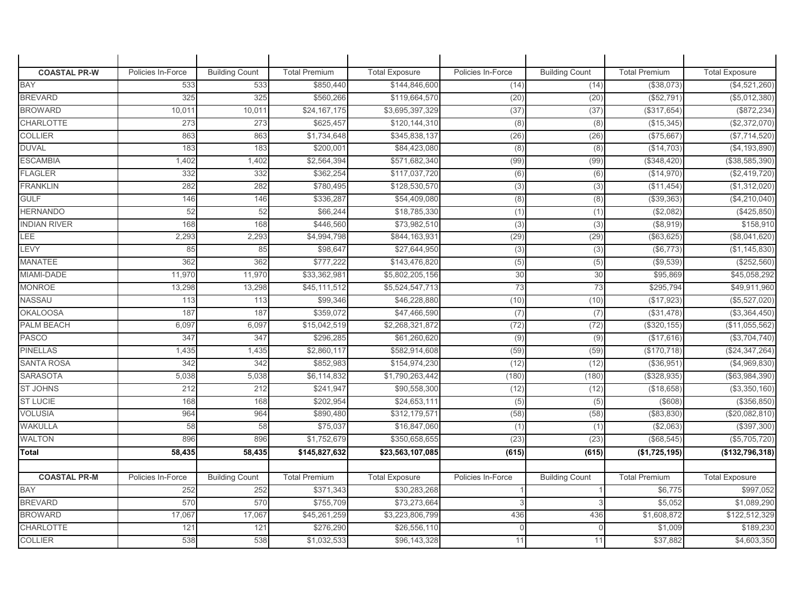| <b>COASTAL PR-W</b> | Policies In-Force | <b>Building Count</b> | <b>Total Premium</b> | <b>Total Exposure</b> | Policies In-Force | <b>Building Count</b> | <b>Total Premium</b> | <b>Total Exposure</b> |
|---------------------|-------------------|-----------------------|----------------------|-----------------------|-------------------|-----------------------|----------------------|-----------------------|
| <b>BAY</b>          | 533               | 533                   | \$850,440            | \$144,846,600         | (14)              | (14)                  | (\$38,073)           | (\$4,521,260)         |
| <b>BREVARD</b>      | 325               | 325                   | \$560,266            | \$119,664,570         | (20)              | (20)                  | (\$52,791            | (\$5,012,380)         |
| <b>BROWARD</b>      | 10,011            | 10,011                | \$24,167,175         | \$3,695,397,329       | (37)              | (37)                  | (\$317,654)          | (\$872, 234)          |
| <b>CHARLOTTE</b>    | 273               | 273                   | \$625,457            | \$120,144,310         | (8)               | (8)                   | (\$15,345)           | (\$2,372,070)         |
| <b>COLLIER</b>      | 863               | 863                   | \$1,734,648          | \$345,838,137         | (26)              | (26)                  | (\$75,667            | (\$7,714,520)         |
| <b>DUVAL</b>        | 183               | 183                   | \$200,001            | \$84,423,080          | (8)               | (8)                   | (\$14,703)           | (\$4, 193, 890)       |
| <b>ESCAMBIA</b>     | 1,402             | 1,402                 | \$2,564,394          | \$571,682,340         | (99)              | (99)                  | (\$348,420)          | (\$38,585,390)        |
| <b>FLAGLER</b>      | 332               | 332                   | \$362,254            | \$117,037,720         | (6)               | (6)                   | (\$14,970)           | (\$2,419,720)         |
| <b>FRANKLIN</b>     | 282               | 282                   | \$780,495            | \$128,530,570         | (3)               | (3)                   | (\$11,454)           | (\$1,312,020)         |
| <b>GULF</b>         | 146               | 146                   | \$336,287            | \$54,409,080          | (8)               | (8)                   | (\$39,363            | (\$4,210,040)         |
| <b>HERNANDO</b>     | 52                | 52                    | \$66,244             | \$18,785,330          | (1)               | (1)                   | (\$2,082)            | (\$425,850)           |
| <b>INDIAN RIVER</b> | 168               | 168                   | \$446,560            | \$73,982,510          | (3)               | (3)                   | (\$8,919)            | \$158,910             |
| LEE                 | 2,293             | 2,293                 | \$4,994,798          | \$844,163,93          | (29)              | (29)                  | (\$63,625)           | (\$8,041,620)         |
| LEVY                | 85                | 85                    | \$98,647             | \$27,644,950          | (3)               | (3)                   | (\$6,773)            | (\$1,145,830)         |
| <b>MANATEE</b>      | 362               | 362                   | \$777,222            | \$143,476,820         | (5)               | (5)                   | (\$9,539)            | (\$252,560)           |
| MIAMI-DADE          | 11,970            | 11,970                | \$33,362,981         | \$5,802,205,156       | 30                | 30                    | \$95,869             | \$45,058,292          |
| <b>MONROE</b>       | 13,298            | 13,298                | \$45,111,512         | \$5,524,547,713       | 73                | 73                    | \$295,794            | \$49,911,960          |
| <b>NASSAU</b>       | 113               | 113                   | \$99,346             | \$46,228,880          | (10)              | (10)                  | (\$17,923)           | (\$5,527,020)         |
| <b>OKALOOSA</b>     | 187               | 187                   | \$359,072            | \$47,466,590          | (7)               | (7)                   | (\$31,478)           | ( \$3,364,450)        |
| PALM BEACH          | 6,097             | 6,097                 | \$15,042,519         | \$2,268,321,872       | (72)              | (72)                  | (\$320, 155)         | (\$11,055,562)        |
| <b>PASCO</b>        | 347               | 347                   | \$296,285            | \$61,260,620          | (9)               | (9)                   | (\$17,616)           | (\$3,704,740)         |
| <b>PINELLAS</b>     | 1,435             | 1,435                 | \$2,860,117          | \$582,914,608         | (59)              | (59)                  | (\$170,718)          | (\$24,347,264)        |
| <b>SANTA ROSA</b>   | 342               | 342                   | \$852,983            | \$154,974,230         | (12)              | (12)                  | (\$36,951            | (\$4,969,830)         |
| <b>SARASOTA</b>     | 5,038             | 5,038                 | \$6,114,832          | \$1,790,263,442       | (180)             | (180)                 | (\$328,935           | $(\$63,984,390)$      |
| <b>ST JOHNS</b>     | 212               | 212                   | \$241,947            | \$90,558,300          | (12)              | (12)                  | (\$18,658)           | (\$3,350,160)         |
| <b>ST LUCIE</b>     | 168               | 168                   | \$202,954            | \$24,653,11           | (5)               | (5)                   | $($ \$608)           | (\$356, 850)          |
| <b>VOLUSIA</b>      | 964               | 964                   | \$890,480            | \$312,179,57          | (58)              | (58)                  | (\$83,830            | (\$20,082,810)        |
| <b>WAKULLA</b>      | 58                | 58                    | \$75,037             | \$16,847,060          | (1)               | (1)                   | (\$2,063)            | (\$397,300)           |
| <b>WALTON</b>       | 896               | 896                   | \$1,752,679          | \$350,658,655         | (23)              | (23)                  | (\$68,545)           | (\$5,705,720)         |
| Total               | 58,435            | 58,435                | \$145,827,632        | \$23,563,107,085      | (615)             | (615)                 | (\$1,725,195)        | ( \$132, 796, 318)    |
|                     |                   |                       |                      |                       |                   |                       |                      |                       |
| <b>COASTAL PR-M</b> | Policies In-Force | <b>Building Count</b> | <b>Total Premium</b> | <b>Total Exposure</b> | Policies In-Force | <b>Building Count</b> | <b>Total Premium</b> | <b>Total Exposure</b> |
| <b>BAY</b>          | 252               | 252                   | \$371,343            | \$30,283,268          |                   |                       | \$6,775              | \$997,052             |
| <b>BREVARD</b>      | 570               | 570                   | \$755,709            | \$73,273,664          |                   |                       | \$5,052              | \$1,089,290           |
| <b>BROWARD</b>      | 17,067            | 17,067                | \$45,261,259         | \$3,223,806,799       | 436               | 436                   | \$1,608,872          | \$122,512,329         |
| <b>CHARLOTTE</b>    | 121               | 121                   | \$276,290            | \$26,556,110          |                   | $\Omega$              | \$1,009              | \$189,230             |
| <b>COLLIER</b>      | 538               | 538                   | \$1,032,533          | \$96,143,328          | 11                | 11                    | \$37,882             | \$4,603,350           |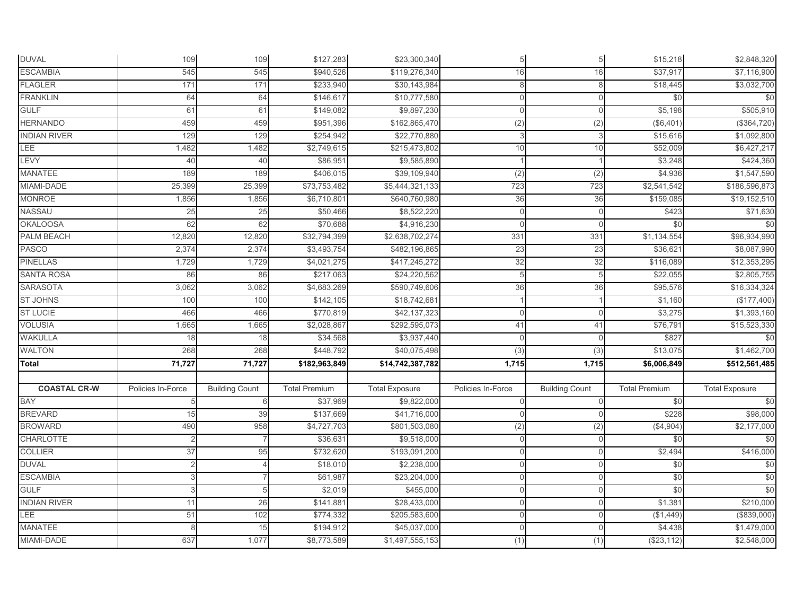| <b>DUVAL</b>        | 109               | 109                   | \$127,283            | \$23,300,340          |                   | 5                     | \$15,218             | \$2,848,320           |
|---------------------|-------------------|-----------------------|----------------------|-----------------------|-------------------|-----------------------|----------------------|-----------------------|
| <b>ESCAMBIA</b>     | 545               | 545                   | \$940,526            | \$119,276,340         | 16                | 16                    | \$37,917             | \$7,116,900           |
| <b>FLAGLER</b>      | 171               | 171                   | \$233,940            | \$30,143,984          | 8                 | 8                     | \$18,445             | \$3,032,700           |
| <b>FRANKLIN</b>     | 64                | 64                    | \$146,617            | \$10,777,580          | $\Omega$          | $\Omega$              | \$0                  | $\frac{6}{3}$         |
| <b>GULF</b>         | 61                | 61                    | \$149,082            | \$9,897,230           | $\cap$            | U                     | \$5,198              | \$505,910             |
| <b>HERNANDO</b>     | 459               | 459                   | \$951,396            | \$162,865,470         | (2)               | (2)                   | (\$6,401             | (\$364,720)           |
| <b>INDIAN RIVER</b> | 129               | 129                   | \$254,942            | \$22,770,880          | 3                 | 3                     | \$15,616             | \$1,092,800           |
| LEE                 | 1,482             | 1,482                 | \$2,749,615          | \$215,473,802         | 10                | 10                    | \$52,009             | \$6,427,217           |
| LEVY                | 40                | 40                    | \$86,951             | \$9,585,890           |                   |                       | \$3,248              | \$424,360             |
| <b>MANATEE</b>      | 189               | 189                   | \$406,015            | \$39,109,940          | (2)               | (2)                   | \$4,936              | \$1,547,590           |
| MIAMI-DADE          | 25,399            | 25,399                | \$73,753,482         | \$5,444,321,133       | 723               | 723                   | \$2,541,542          | \$186,596,873         |
| <b>MONROE</b>       | 1,856             | 1,856                 | \$6,710,801          | \$640,760,980         | 36                | 36                    | \$159,085            | \$19,152,510          |
| NASSAU              | 25                | 25                    | \$50,466             | \$8,522,220           | $\Omega$          |                       | \$423                | \$71,630              |
| <b>OKALOOSA</b>     | 62                | 62                    | \$70,688             | \$4,916,230           | $\cap$            | U                     | \$0                  | \$0                   |
| <b>PALM BEACH</b>   | 12,820            | 12,820                | \$32,794,399         | \$2,638,702,274       | 331               | 331                   | \$1,134,554          | \$96,934,990          |
| <b>PASCO</b>        | 2,374             | 2,374                 | \$3,493,754          | \$482,196,865         | 23                | 23                    | \$36,62              | \$8,087,990           |
| <b>PINELLAS</b>     | 1,729             | 1,729                 | \$4,021,275          | \$417,245,272         | 32                | 32                    | \$116,089            | \$12,353,295          |
| <b>SANTA ROSA</b>   | 86                | 86                    | \$217,063            | \$24,220,562          | 5                 | 5                     | \$22,055             | \$2,805,755           |
| <b>SARASOTA</b>     | 3,062             | 3,062                 | \$4,683,269          | \$590,749,606         | 36                | 36                    | \$95,576             | \$16,334,324          |
| <b>ST JOHNS</b>     | 100               | 100                   | \$142,105            | \$18,742,681          |                   |                       | \$1,160              | (\$177,400)           |
| <b>ST LUCIE</b>     | 466               | 466                   | \$770,819            | \$42,137,323          | $\Omega$          | $\Omega$              | \$3,275              | \$1,393,160           |
| <b>VOLUSIA</b>      | 1,665             | 1,665                 | \$2,028,867          | \$292,595,073         | 41                | 41                    | \$76,791             | \$15,523,330          |
| <b>WAKULLA</b>      | 18                | 18                    | \$34,568             | \$3,937,440           | $\Omega$          | $\Omega$              | \$827                | \$0                   |
| <b>WALTON</b>       | 268               | 268                   | \$448,792            | \$40,075,498          | $\overline{3)}$   | (3)                   | \$13,075             | \$1,462,700           |
| <b>Total</b>        | 71,727            | 71,727                | \$182,963,849        | \$14,742,387,782      | 1,715             | 1,715                 | \$6,006,849          | \$512,561,485         |
|                     |                   |                       |                      |                       |                   |                       |                      |                       |
| <b>COASTAL CR-W</b> | Policies In-Force | <b>Building Count</b> | <b>Total Premium</b> | <b>Total Exposure</b> | Policies In-Force | <b>Building Count</b> | <b>Total Premium</b> | <b>Total Exposure</b> |
| <b>BAY</b>          | 5                 | 6                     | \$37,969             | \$9,822,000           | $\Omega$          | $\Omega$              | \$0                  | \$0                   |
| <b>BREVARD</b>      | 15                | 39                    | \$137,669            | \$41,716,000          |                   |                       | \$228                | \$98,000              |
| <b>BROWARD</b>      | 490               | 958                   | \$4,727,703          | \$801,503,080         | (2)               | (2)                   | (\$4,904)            | \$2,177,000           |
| <b>CHARLOTTE</b>    |                   |                       | \$36,631             | \$9,518,000           | $\Omega$          |                       | \$0                  | \$0                   |
| <b>COLLIER</b>      | 37                | 95                    | \$732,620            | \$193,091,200         | $\cap$            | $\Omega$              | \$2,494              | \$416,000             |
| <b>DUVAL</b>        |                   |                       | \$18,010             | \$2,238,000           | $\cap$            | $\Omega$              | \$0                  | $\frac{6}{3}$         |
| <b>ESCAMBIA</b>     | 3                 |                       | \$61,987             | \$23,204,000          | $\overline{0}$    | $\mathbf 0$           | \$0                  | $\frac{6}{3}$         |
| <b>GULF</b>         | 3                 | 5                     | \$2,019              | \$455,000             | $\Omega$          | $\Omega$              | \$0                  | \$0                   |
| <b>INDIAN RIVER</b> | 11                | 26                    | \$141,881            | \$28,433,000          | $\Omega$          | <sup>0</sup>          | \$1,381              | \$210,000             |
| LEE                 | 51                | 102                   | \$774,332            | \$205,583,600         | $\Omega$          | $\Omega$              | (\$1,449)            | (\$839,000)           |
| <b>MANATEE</b>      |                   | 15                    | \$194,912            | \$45,037,000          | $\cap$            | $\Omega$              | \$4,438              | \$1,479,000           |
| MIAMI-DADE          | 637               | 1,077                 | \$8,773,589          | \$1,497,555,153       | (1)               | (1)                   | (\$23,112)           | \$2,548,000           |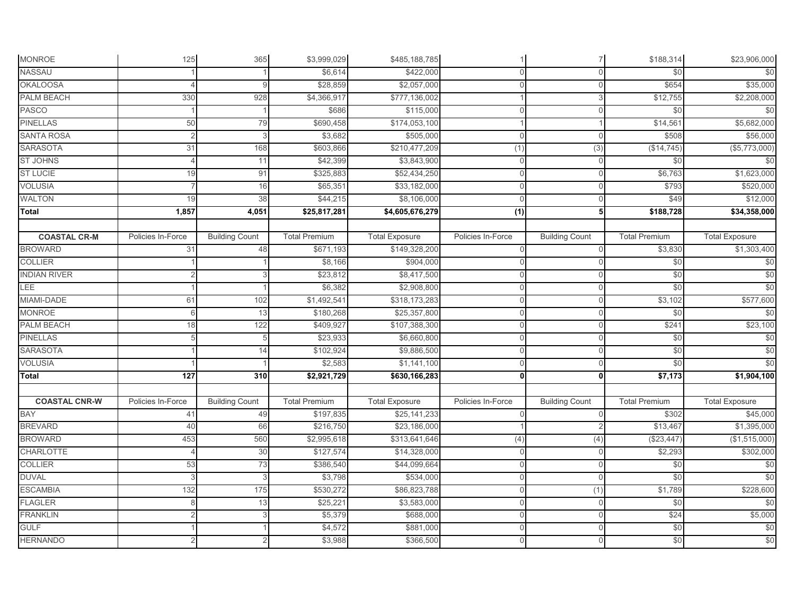| <b>MONROE</b>        | 125               | 365                   | \$3,999,029          | \$485,188,785         |                   | $\overline{7}$        | \$188,314            | \$23,906,000          |
|----------------------|-------------------|-----------------------|----------------------|-----------------------|-------------------|-----------------------|----------------------|-----------------------|
| <b>NASSAU</b>        |                   |                       | \$6,614              | \$422,000             | $\cap$            | $\Omega$              | \$0                  | \$0                   |
| <b>OKALOOSA</b>      |                   |                       | \$28,859             | \$2,057,000           | $\cap$            |                       | \$654                | \$35,000              |
| PALM BEACH           | 330               | 928                   | \$4,366,917          | \$777,136,002         |                   | 3                     | \$12,755             | \$2,208,000           |
| <b>PASCO</b>         |                   |                       | \$686                | \$115,000             | $\cap$            | $\Omega$              | \$0                  | \$0                   |
| <b>PINELLAS</b>      | 50                | 79                    | \$690,458            | \$174,053,100         |                   |                       | \$14,561             | \$5,682,000           |
| <b>SANTA ROSA</b>    | $\mathfrak{p}$    | 3                     | \$3,682              | \$505,000             | $\Omega$          | $\Omega$              | \$508                | \$56,000              |
| <b>SARASOTA</b>      | 31                | 168                   | \$603,866            | \$210,477,209         | (1)               | (3)                   | (\$14, 745)          | (\$5,773,000)         |
| <b>ST JOHNS</b>      | $\Delta$          | 11                    | \$42,399             | \$3,843,900           | $\Omega$          | $\Omega$              | \$0                  | \$0                   |
| <b>ST LUCIE</b>      | 19                | 91                    | \$325,883            | \$52,434,250          | $\mathbf{0}$      | $\Omega$              | \$6,763              | \$1,623,000           |
| <b>VOLUSIA</b>       |                   | 16                    | \$65,351             | \$33,182,000          | $\Omega$          | $\Omega$              | \$793                | \$520,000             |
| <b>WALTON</b>        | 19                | 38                    | \$44,215             | \$8,106,000           | $\Omega$          | $\Omega$              | \$49                 | \$12,000              |
| Total                | 1,857             | 4,051                 | \$25,817,281         | \$4,605,676,279       | (1)               | 5                     | \$188,728            | \$34,358,000          |
|                      |                   |                       |                      |                       |                   |                       |                      |                       |
| <b>COASTAL CR-M</b>  | Policies In-Force | <b>Building Count</b> | <b>Total Premium</b> | <b>Total Exposure</b> | Policies In-Force | <b>Building Count</b> | <b>Total Premium</b> | <b>Total Exposure</b> |
| <b>BROWARD</b>       | 31                | 48                    | \$671,193            | \$149,328,200         | $\Omega$          | $\Omega$              | \$3,830              | \$1,303,400           |
| <b>COLLIER</b>       |                   |                       | \$8,166              | \$904,000             | $\Omega$          | $\Omega$              | \$0                  | \$0                   |
| <b>INDIAN RIVER</b>  |                   |                       | \$23,812             | \$8,417,500           | $\Omega$          |                       | \$0                  | \$0                   |
| LEE                  |                   |                       | \$6,382              | \$2,908,800           | $\Omega$          | $\Omega$              | \$0                  | \$0                   |
| MIAMI-DADE           | 61                | 102                   | \$1,492,541          | \$318,173,283         | O                 | 0                     | \$3,102              | \$577,600             |
| <b>MONROE</b>        | 6                 | 13                    | \$180,268            | \$25,357,800          | O                 |                       | \$0                  | \$0                   |
| <b>PALM BEACH</b>    | 18                | 122                   | \$409,927            | \$107,388,300         | $\mathbf 0$       | $\Omega$              | \$241                | \$23,100              |
| <b>PINELLAS</b>      | 5                 | 5                     | \$23,933             | \$6,660,800           | $\mathbf 0$       | 0                     | \$0                  | \$0                   |
| <b>SARASOTA</b>      |                   | 14                    | \$102,924            | \$9,886,500           | $\Omega$          | $\Omega$              | \$0                  | \$0                   |
| <b>VOLUSIA</b>       |                   |                       | \$2,583              | \$1,141,100           | $\cap$            | $\Omega$              | \$0                  | \$0                   |
| <b>Total</b>         | $\overline{127}$  | 310                   | \$2,921,729          | \$630,166,283         | n                 | 0                     | \$7,173              | \$1,904,100           |
| <b>COASTAL CNR-W</b> | Policies In-Force | <b>Building Count</b> | <b>Total Premium</b> | <b>Total Exposure</b> | Policies In-Force | <b>Building Count</b> | <b>Total Premium</b> | <b>Total Exposure</b> |
| <b>BAY</b>           | 41                | 49                    | \$197,835            | \$25,141,233          | $\Omega$          | $\Omega$              | \$302                | \$45,000              |
| <b>BREVARD</b>       | 40                | 66                    | \$216,750            | \$23,186,000          |                   |                       | \$13,467             | \$1,395,000           |
| <b>BROWARD</b>       | 453               | 560                   | \$2,995,618          | \$313,641,646         | (4)               | (4)                   | (\$23,447            | (\$1,515,000)         |
| CHARLOTTE            |                   | 30                    | \$127,574            | \$14,328,000          | $\cap$            | $\Omega$              | \$2,293              | \$302,000             |
| <b>COLLIER</b>       | 53                | 73                    | \$386,540            | \$44,099,664          | $\Omega$          | $\Omega$              | \$0                  | \$0                   |
| <b>DUVAL</b>         | 3                 | 3                     | \$3,798              | \$534,000             | $\Omega$          | $\Omega$              | \$0                  | \$0                   |
| <b>ESCAMBIA</b>      | 132               | 175                   | \$530,272            | \$86,823,788          | $\Omega$          | (1)                   | \$1,789              | \$228,600             |
| <b>FLAGLER</b>       | 8                 | 13                    | \$25,221             | \$3,583,000           | $\Omega$          | $\Omega$              | \$0                  | \$0                   |
| <b>FRANKLIN</b>      |                   |                       | \$5,379              | \$688,000             | $\Omega$          | $\Omega$              | \$24                 | \$5,000               |
| <b>GULF</b>          |                   |                       | \$4,572              | \$881,000             | $\cap$            | $\Omega$              | \$0                  | \$0                   |
| <b>HERNANDO</b>      |                   |                       | \$3,988              | \$366,500             | $\Omega$          | $\Omega$              | \$0                  | \$0                   |
|                      |                   |                       |                      |                       |                   |                       |                      |                       |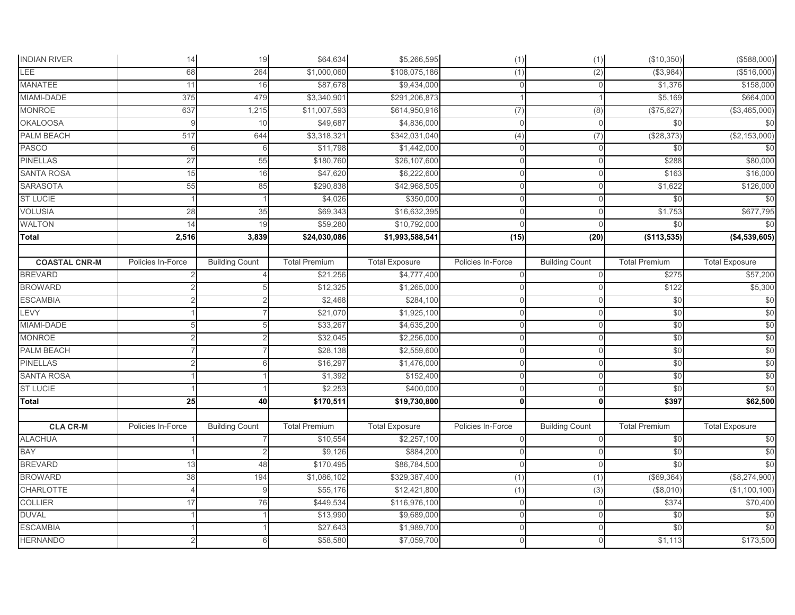| <b>INDIAN RIVER</b>  | 14                | 19                    | \$64,634             | \$5,266,595             | (1)               | (1)                   | (\$10,350)           | (\$588,000)           |
|----------------------|-------------------|-----------------------|----------------------|-------------------------|-------------------|-----------------------|----------------------|-----------------------|
| LEE                  | 68                | 264                   | \$1,000,060          | \$108,075,186           | (1)               | $\overline{(2)}$      | (\$3,984)            | (\$516,000)           |
| <b>MANATEE</b>       | 11                | 16                    | \$87,678             | \$9,434,000             | $\Omega$          |                       | \$1,376              | \$158,000             |
| MIAMI-DADE           | 375               | 479                   | \$3,340,901          | \$291,206,873           |                   |                       | \$5,169              | \$664,000             |
| <b>MONROE</b>        | 637               | 1,215                 | \$11,007,593         | \$614,950,916           | (7)               | (8)                   | (\$75,627)           | (\$3,465,000)         |
| <b>OKALOOSA</b>      | 9                 | 10                    | \$49,687             | \$4,836,000             | $\Omega$          |                       | \$0                  | \$0                   |
| <b>PALM BEACH</b>    | 517               | 644                   | \$3,318,321          | \$342,031,040           | (4)               | (7)                   | (\$28,373)           | (\$2,153,000)         |
| <b>PASCO</b>         | 6                 | 6                     | \$11,798             | \$1,442,000             | $\Omega$          | U                     | \$0                  | \$0                   |
| <b>PINELLAS</b>      | 27                | 55                    | \$180,760            | \$26,107,600            | $\Omega$          |                       | \$288                | \$80,000              |
| <b>SANTA ROSA</b>    | 15                | 16                    | \$47,620             | \$6,222,600             | $\mathbf 0$       | 0                     | \$163                | \$16,000              |
| <b>SARASOTA</b>      | 55                | 85                    | \$290,838            | \$42,968,505            | $\Omega$          | 0                     | \$1,622              | \$126,000             |
| <b>ST LUCIE</b>      |                   |                       | \$4,026              | \$350,000               | $\Omega$          |                       | \$0                  | \$0                   |
| <b>VOLUSIA</b>       | 28                | 35                    | \$69,343             | \$16,632,395            | 0                 |                       | \$1,753              | \$677,795             |
| <b>WALTON</b>        | 14                | 19                    | \$59,280             | \$10,792,000            | ſ                 |                       | \$0                  | \$0                   |
| <b>Total</b>         | 2,516             | 3,839                 | \$24,030,086         | \$1,993,588,541         | (15)              | (20)                  | (\$113,535)          | (\$4,539,605)         |
|                      |                   |                       |                      |                         |                   |                       |                      |                       |
| <b>COASTAL CNR-M</b> | Policies In-Force | <b>Building Count</b> | <b>Total Premium</b> | <b>Total Exposure</b>   | Policies In-Force | <b>Building Count</b> | <b>Total Premium</b> | <b>Total Exposure</b> |
| <b>BREVARD</b>       |                   |                       | \$21,256             | \$4,777,400             | $\Omega$          |                       | \$275                | \$57,200              |
| <b>BROWARD</b>       | $\mathfrak{D}$    |                       | \$12,325             | \$1,265,000             | $\mathbf 0$       | U                     | \$122                | \$5,300               |
| <b>ESCAMBIA</b>      |                   |                       | \$2,468              | \$284,100               | $\Omega$          | U                     | \$0                  | \$0                   |
| LEVY                 |                   |                       | \$21,070             | \$1,925,100             | $\Omega$          | U                     | \$0                  | \$0                   |
| MIAMI-DADE           |                   |                       | \$33,267             | $\overline{$4,635,200}$ | $\Omega$          | $\Omega$              | \$0                  | \$0                   |
| <b>MONROE</b>        |                   |                       | \$32,045             | \$2,256,000             | $\Omega$          | $\Omega$              | \$0                  | \$0                   |
| PALM BEACH           |                   |                       | \$28,138             | \$2,559,600             | $\Omega$          | 0                     | \$0                  | \$0                   |
| <b>PINELLAS</b>      |                   | 6                     | \$16,297             | \$1,476,000             | $\Omega$          | 0                     | \$0                  | \$0                   |
| <b>SANTA ROSA</b>    |                   |                       | \$1,392              | \$152,400               | O                 | 0                     | \$0                  | \$0                   |
| <b>ST LUCIE</b>      |                   |                       | \$2,253              | \$400,000               |                   | U                     | \$0                  | \$0                   |
| Total                | 25                | 40                    | \$170,511            | \$19,730,800            | $\mathbf{0}$      | $\mathbf{0}$          | \$397                | \$62,500              |
|                      |                   |                       |                      |                         |                   |                       |                      |                       |
| <b>CLA CR-M</b>      | Policies In-Force | <b>Building Count</b> | <b>Total Premium</b> | <b>Total Exposure</b>   | Policies In-Force | <b>Building Count</b> | <b>Total Premium</b> | <b>Total Exposure</b> |
| <b>ALACHUA</b>       |                   |                       | \$10,554             | \$2,257,100             | $\Omega$          | $\Omega$              | \$0                  | \$0                   |
| BAY                  |                   |                       | \$9,126              | \$884,200               | C                 |                       | \$0                  | \$0                   |
| <b>BREVARD</b>       | 13                | 48                    | \$170,495            | \$86,784,500            | $\Omega$          |                       | \$0                  | \$0                   |
| <b>BROWARD</b>       | 38                | 194                   | \$1,086,102          | \$329,387,400           | (1)               | (1)                   | (\$69,364)           | (\$8,274,900)         |
| <b>CHARLOTTE</b>     | $\Delta$          | 9                     | \$55,176             | \$12,421,800            | (1)               | (3)                   | (\$8,010)            | (\$1,100,100)         |
| <b>COLLIER</b>       | 17                | 76                    | \$449,534            | \$116,976,100           | $\Omega$          |                       | \$374                | \$70,400              |
| <b>DUVAL</b>         |                   |                       | \$13,990             | \$9,689,000             | $\Omega$          | $\Omega$              | \$0                  | \$0                   |
| <b>ESCAMBIA</b>      |                   |                       | \$27,643             | \$1,989,700             | $\Omega$          | U                     | \$0                  | \$0                   |
| <b>HERNANDO</b>      |                   | 6                     | \$58,580             | \$7,059,700             | $\Omega$          | 0                     | \$1,113              | \$173,500             |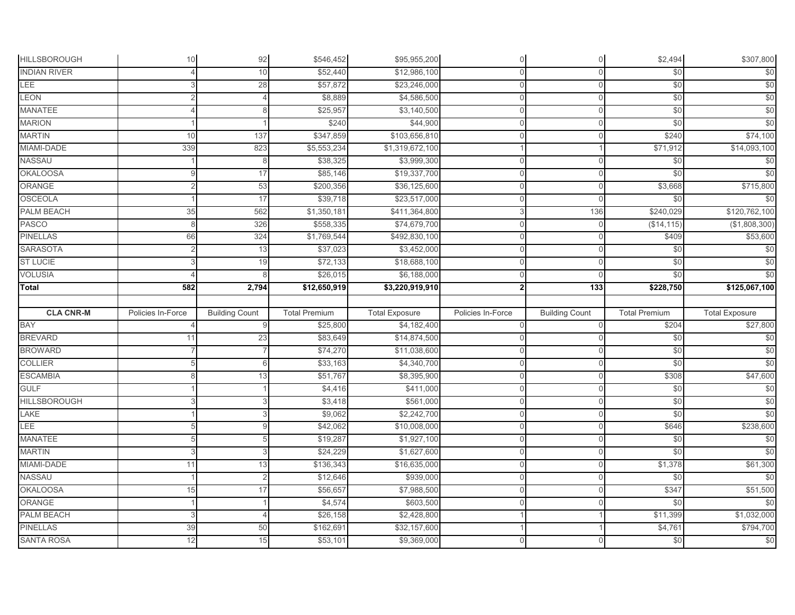| <b>HILLSBOROUGH</b> | 10                | 92                    | \$546,452            | \$95,955,200          | $\Omega$          | $\mathbf 0$           | \$2,494              | \$307,800             |
|---------------------|-------------------|-----------------------|----------------------|-----------------------|-------------------|-----------------------|----------------------|-----------------------|
| <b>INDIAN RIVER</b> |                   | 10                    | \$52,440             | \$12,986,100          | $\cap$            | $\Omega$              | \$0                  | \$0                   |
| LEE                 | 3                 | 28                    | \$57,872             | \$23,246,000          | $\Omega$          | $\mathbf{0}$          | $\frac{6}{3}$        | \$0                   |
| <b>LEON</b>         | $\mathcal{P}$     | $\Delta$              | \$8,889              | \$4,586,500           | $\Omega$          | $\Omega$              | \$0                  | \$0                   |
| <b>MANATEE</b>      |                   | 8                     | \$25,957             | \$3,140,500           | $\Omega$          | $\mathbf 0$           | \$0                  | \$0                   |
| <b>MARION</b>       |                   |                       | \$240                | \$44,900              | $\Omega$          | $\overline{0}$        | \$0                  | \$0                   |
| <b>MARTIN</b>       | 10                | 137                   | \$347,859            | \$103,656,810         | $\Omega$          | $\mathbf 0$           | \$240                | \$74,100              |
| MIAMI-DADE          | 339               | 823                   | \$5,553,234          | \$1,319,672,100       |                   |                       | \$71,912             | \$14,093,100          |
| NASSAU              |                   | 8                     | \$38,325             | \$3,999,300           | $\Omega$          | $\mathbf{0}$          | $\frac{6}{3}$        | \$0                   |
| <b>OKALOOSA</b>     | 9                 | 17                    | \$85,146             | \$19,337,700          | $\mathbf{0}$      | $\mathbf 0$           | \$0                  | \$0                   |
| ORANGE              | 2                 | 53                    | \$200,356            | \$36,125,600          | $\mathbf 0$       | $\mathbf 0$           | \$3,668              | \$715,800             |
| <b>OSCEOLA</b>      |                   | 17                    | \$39,718             | \$23,517,000          | $\cap$            | $\mathbf 0$           | \$0                  | \$0                   |
| PALM BEACH          | 35                | 562                   | \$1,350,181          | \$411,364,800         | 3                 | 136                   | \$240,029            | \$120,762,100         |
| <b>PASCO</b>        | 8                 | 326                   | \$558,335            | \$74,679,700          | $\cap$            | $\Omega$              | (\$14, 115)          | (\$1,808,300)         |
| <b>PINELLAS</b>     | 66                | 324                   | \$1,769,544          | \$492,830,100         | $\Omega$          | $\Omega$              | \$409                | \$53,600              |
| <b>SARASOTA</b>     | $\overline{c}$    | 13                    | \$37,023             | \$3,452,000           | $\Omega$          | $\Omega$              | \$0                  | \$0                   |
| <b>ST LUCIE</b>     | 3                 | 19                    | \$72,133             | \$18,688,100          | $\Omega$          | $\Omega$              | \$0                  | \$0                   |
| <b>VOLUSIA</b>      |                   |                       | \$26,015             | \$6,188,000           | $\Omega$          | $\Omega$              | \$0                  | \$0                   |
| Total               | 582               | 2,794                 | \$12,650,919         | \$3,220,919,910       | $\overline{2}$    | $\boxed{133}$         | \$228,750            | \$125,067,100         |
|                     |                   |                       |                      |                       |                   |                       |                      |                       |
|                     |                   |                       |                      |                       |                   |                       |                      |                       |
| <b>CLA CNR-M</b>    | Policies In-Force | <b>Building Count</b> | <b>Total Premium</b> | <b>Total Exposure</b> | Policies In-Force | <b>Building Count</b> | <b>Total Premium</b> | <b>Total Exposure</b> |
| <b>BAY</b>          |                   |                       | \$25,800             | \$4,182,400           | $\overline{0}$    | $\mathbf{0}$          | \$204                | \$27,800              |
| <b>BREVARD</b>      | 11                | 23                    | \$83,649             | \$14,874,500          | $\mathbf 0$       | $\mathbf 0$           | \$0                  | \$0                   |
| <b>BROWARD</b>      |                   |                       | \$74,270             | \$11,038,600          | $\cap$            | $\mathbf 0$           | \$0                  | \$0                   |
| <b>COLLIER</b>      |                   | 6                     | \$33,163             | \$4,340,700           | $\cap$            | 0                     | \$0                  | \$0                   |
| <b>ESCAMBIA</b>     |                   | 13                    | \$51,767             | \$8,395,900           | $\cap$            | $\mathbf 0$           | \$308                | \$47,600              |
| <b>GULF</b>         |                   |                       | \$4,416              | \$411,000             | $\cap$            | $\mathbf 0$           | \$0                  | \$0                   |
| <b>HILLSBOROUGH</b> |                   |                       | \$3,418              | \$561,000             | $\Omega$          | $\overline{0}$        | \$0                  | \$0                   |
| LAKE                |                   | 3                     | \$9,062              | \$2,242,700           | $\Omega$          | $\overline{0}$        | \$0                  | \$0                   |
| <b>LEE</b>          |                   | $\mathbf{Q}$          | \$42,062             | \$10,008,000          | $\Omega$          | $\Omega$              | \$646                | \$238,600             |
| <b>MANATEE</b>      |                   |                       | \$19,287             | \$1,927,100           | $\Omega$          | $\mathbf 0$           | \$0                  | \$0                   |
| <b>MARTIN</b>       |                   |                       | \$24,229             | \$1,627,600           | $\Omega$          | 0                     | \$0                  | \$0                   |
| MIAMI-DADE          | 11                | 13                    | \$136,343            | \$16,635,000          | $\Omega$          | $\Omega$              | \$1,378              | \$61,300              |
| <b>NASSAU</b>       |                   | $\overline{2}$        | \$12,646             | \$939,000             | $\overline{0}$    | $\mathbf{0}$          | $\frac{6}{3}$        | \$0                   |
| <b>OKALOOSA</b>     | 15                | 17                    | \$56,657             | \$7,988,500           | $\mathbf 0$       | $\mathbf 0$           | \$347                | \$51,500              |
| <b>ORANGE</b>       |                   |                       | \$4,574              | \$603,500             | $\cap$            | $\Omega$              | \$0                  | \$0                   |
| PALM BEACH          | 3                 |                       | \$26,158             | \$2,428,800           |                   |                       | \$11,399             | \$1,032,000           |
| <b>PINELLAS</b>     | 39                | 50                    | \$162,691            | \$32,157,600          |                   |                       | \$4,761              | \$794,700             |